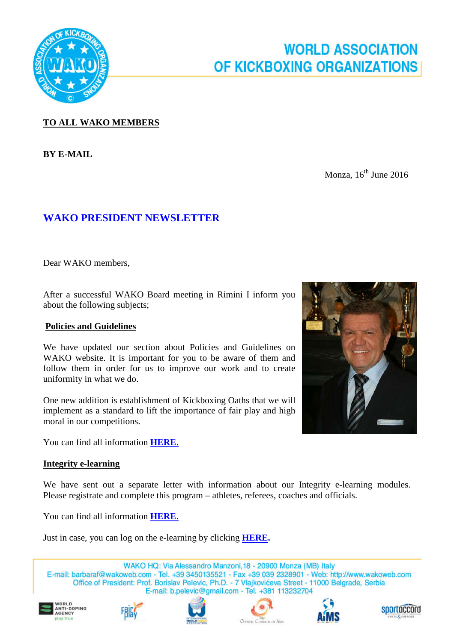

# **WORLD ASSOCIATION OF KICKBOXING ORGANIZATIONS**

# **TO ALL WAKO MEMBERS**

**BY E-MAIL**

Monza,  $16^{th}$  June 2016

# **WAKO PRESIDENT NEWSLETTER**

Dear WAKO members,

After a successful WAKO Board meeting in Rimini I inform you about the following subjects;

## **Policies and Guidelines**

We have updated our section about Policies and Guidelines on WAKO website. It is important for you to be aware of them and follow them in order for us to improve our work and to create uniformity in what we do.

One new addition is establishment of Kickboxing Oaths that we will implement as a standard to lift the importance of fair play and high moral in our competitions.

You can find all information **[HERE](http://www.wakoweb.com/en/page/guidelines/fd20cd79-73d8-4f34-bce2-e5e600f82bfd)**.

#### **Integrity e-learning**

We have sent out a separate letter with information about our Integrity e-learning modules. Please registrate and complete this program – athletes, referees, coaches and officials.

You can find all information **[HERE](http://www.wakoweb.com/en/page/guidelines/fd20cd79-73d8-4f34-bce2-e5e600f82bfd)**.

Just in case, you can log on the e-learning by clicking **[HERE.](https://www.surveymonkey.com/r/V5F5BHB)**